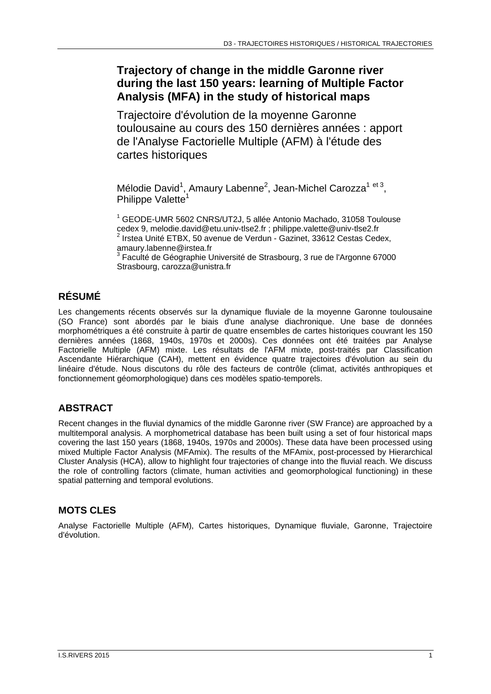## **Trajectory of change in the middle Garonne river during the last 150 years: learning of Multiple Factor Analysis (MFA) in the study of historical maps**

Trajectoire d'évolution de la moyenne Garonne toulousaine au cours des 150 dernières années : apport de l'Analyse Factorielle Multiple (AFM) à l'étude des cartes historiques

Mélodie David<sup>1</sup>, Amaury Labenne<sup>2</sup>, Jean-Michel Carozza<sup>1 et 3</sup>, Philippe Valette<sup>1</sup>

<sup>1</sup> GEODE-UMR 5602 CNRS/UT2J, 5 allée Antonio Machado, 31058 Toulouse cedex 9, melodie.david@etu.univ-tlse2.fr ; philippe.valette@univ-tlse2.fr <sup>2</sup> Irstea Unité ETBX, 50 avenue de Verdun - Gazinet, 33612 Cestas Cedex, amaury.labenne@irstea.fr

<sup>3</sup> Faculté de Géographie Université de Strasbourg, 3 rue de l'Argonne 67000 Strasbourg, carozza@unistra.fr

## **RÉSUMÉ**

Les changements récents observés sur la dynamique fluviale de la moyenne Garonne toulousaine (SO France) sont abordés par le biais d'une analyse diachronique. Une base de données morphométriques a été construite à partir de quatre ensembles de cartes historiques couvrant les 150 dernières années (1868, 1940s, 1970s et 2000s). Ces données ont été traitées par Analyse Factorielle Multiple (AFM) mixte. Les résultats de l'AFM mixte, post-traités par Classification Ascendante Hiérarchique (CAH), mettent en évidence quatre trajectoires d'évolution au sein du linéaire d'étude. Nous discutons du rôle des facteurs de contrôle (climat, activités anthropiques et fonctionnement géomorphologique) dans ces modèles spatio-temporels.

### **ABSTRACT**

Recent changes in the fluvial dynamics of the middle Garonne river (SW France) are approached by a multitemporal analysis. A morphometrical database has been built using a set of four historical maps covering the last 150 years (1868, 1940s, 1970s and 2000s). These data have been processed using mixed Multiple Factor Analysis (MFAmix). The results of the MFAmix, post-processed by Hierarchical Cluster Analysis (HCA), allow to highlight four trajectories of change into the fluvial reach. We discuss the role of controlling factors (climate, human activities and geomorphological functioning) in these spatial patterning and temporal evolutions.

### **MOTS CLES**

Analyse Factorielle Multiple (AFM), Cartes historiques, Dynamique fluviale, Garonne, Trajectoire d'évolution.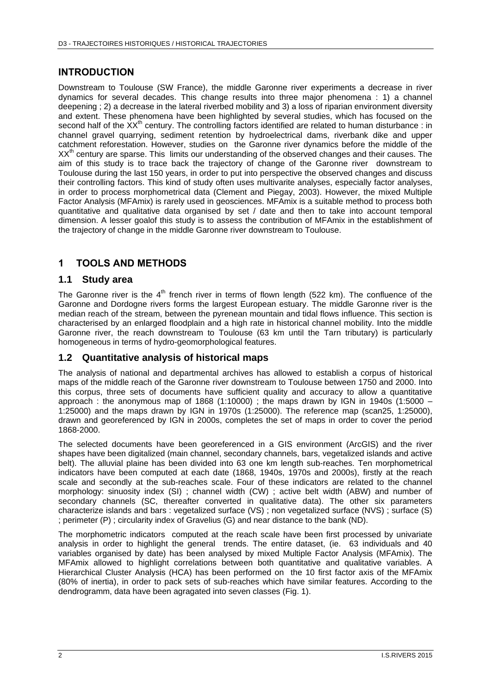#### **INTRODUCTION**

Downstream to Toulouse (SW France), the middle Garonne river experiments a decrease in river dynamics for several decades. This change results into three major phenomena : 1) a channel deepening ; 2) a decrease in the lateral riverbed mobility and 3) a loss of riparian environment diversity and extent. These phenomena have been highlighted by several studies, which has focused on the second half of the  $XX<sup>th</sup>$  century. The controlling factors identified are related to human disturbance : in channel gravel quarrying, sediment retention by hydroelectrical dams, riverbank dike and upper catchment reforestation. However, studies on the Garonne river dynamics before the middle of the XX<sup>th</sup> century are sparse. This limits our understanding of the observed changes and their causes. The aim of this study is to trace back the trajectory of change of the Garonne river downstream to Toulouse during the last 150 years, in order to put into perspective the observed changes and discuss their controlling factors. This kind of study often uses multivarite analyses, especially factor analyses, in order to process morphometrical data (Clement and Piegay, 2003). However, the mixed Multiple Factor Analysis (MFAmix) is rarely used in geosciences. MFAmix is a suitable method to process both quantitative and qualitative data organised by set / date and then to take into account temporal dimension. A lesser goalof this study is to assess the contribution of MFAmix in the establishment of the trajectory of change in the middle Garonne river downstream to Toulouse.

### **1 TOOLS AND METHODS**

#### **1.1 Study area**

The Garonne river is the  $4<sup>th</sup>$  french river in terms of flown length (522 km). The confluence of the Garonne and Dordogne rivers forms the largest European estuary. The middle Garonne river is the median reach of the stream, between the pyrenean mountain and tidal flows influence. This section is characterised by an enlarged floodplain and a high rate in historical channel mobility. Into the middle Garonne river, the reach downstream to Toulouse (63 km until the Tarn tributary) is particularly homogeneous in terms of hydro-geomorphological features.

#### **1.2 Quantitative analysis of historical maps**

The analysis of national and departmental archives has allowed to establish a corpus of historical maps of the middle reach of the Garonne river downstream to Toulouse between 1750 and 2000. Into this corpus, three sets of documents have sufficient quality and accuracy to allow a quantitative approach : the anonymous map of 1868 (1:10000) ; the maps drawn by IGN in 1940s (1:5000 – 1:25000) and the maps drawn by IGN in 1970s (1:25000). The reference map (scan25, 1:25000), drawn and georeferenced by IGN in 2000s, completes the set of maps in order to cover the period 1868-2000.

The selected documents have been georeferenced in a GIS environment (ArcGIS) and the river shapes have been digitalized (main channel, secondary channels, bars, vegetalized islands and active belt). The alluvial plaine has been divided into 63 one km length sub-reaches. Ten morphometrical indicators have been computed at each date (1868, 1940s, 1970s and 2000s), firstly at the reach scale and secondly at the sub-reaches scale. Four of these indicators are related to the channel morphology: sinuosity index (SI) ; channel width (CW) ; active belt width (ABW) and number of secondary channels (SC, thereafter converted in qualitative data). The other six parameters characterize islands and bars : vegetalized surface (VS) ; non vegetalized surface (NVS) ; surface (S) ; perimeter (P) ; circularity index of Gravelius (G) and near distance to the bank (ND).

The morphometric indicators computed at the reach scale have been first processed by univariate analysis in order to highlight the general trends. The entire dataset, (ie. 63 individuals and 40 variables organised by date) has been analysed by mixed Multiple Factor Analysis (MFAmix). The MFAmix allowed to highlight correlations between both quantitative and qualitative variables. A Hierarchical Cluster Analysis (HCA) has been performed on the 10 first factor axis of the MFAmix (80% of inertia), in order to pack sets of sub-reaches which have similar features. According to the dendrogramm, data have been agragated into seven classes (Fig. 1).